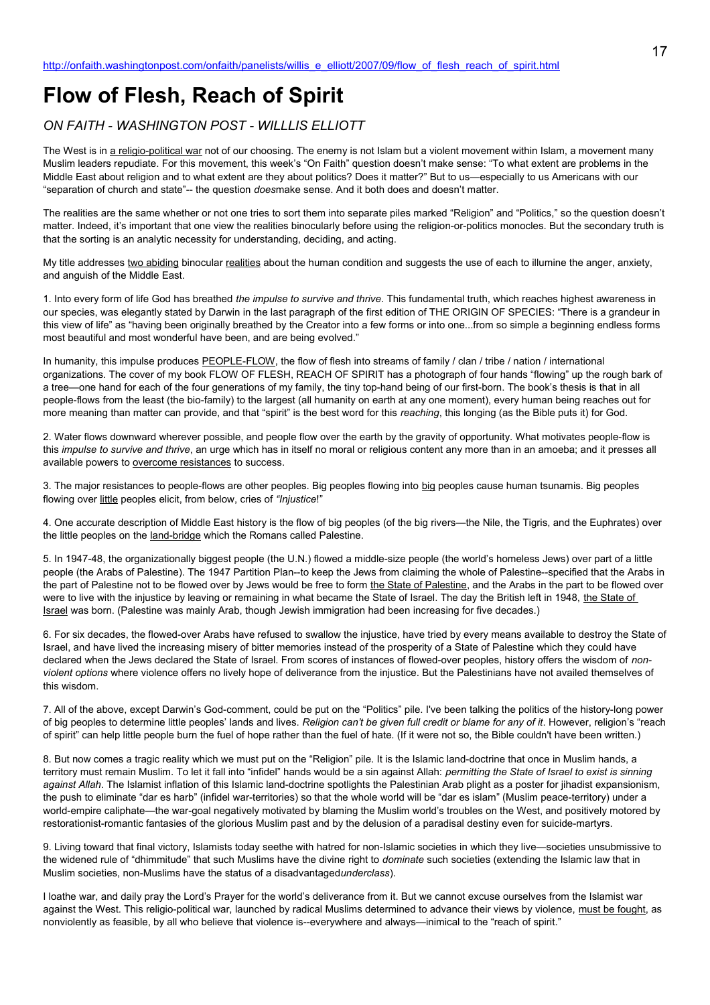# **Flow of Flesh, Reach of Spirit**

# *ON FAITH - WASHINGTON POST - WILLLIS ELLIOTT*

The West is in a religio-political war not of our choosing. The enemy is not Islam but a violent movement within Islam, a movement many Muslim leaders repudiate. For this movement, this week's "On Faith" question doesn't make sense: "To what extent are problems in the Middle East about religion and to what extent are they about politics? Does it matter?" But to us—especially to us Americans with our "separation of church and state"-- the question *does*make sense. And it both does and doesn't matter.

The realities are the same whether or not one tries to sort them into separate piles marked "Religion" and "Politics," so the question doesn't matter. Indeed, it's important that one view the realities binocularly before using the religion-or-politics monocles. But the secondary truth is that the sorting is an analytic necessity for understanding, deciding, and acting.

My title addresses two abiding binocular realities about the human condition and suggests the use of each to illumine the anger, anxiety, and anguish of the Middle East.

1. Into every form of life God has breathed *the impulse to survive and thrive*. This fundamental truth, which reaches highest awareness in our species, was elegantly stated by Darwin in the last paragraph of the first edition of THE ORIGIN OF SPECIES: "There is a grandeur in this view of life" as "having been originally breathed by the Creator into a few forms or into one...from so simple a beginning endless forms most beautiful and most wonderful have been, and are being evolved."

In humanity, this impulse produces PEOPLE-FLOW, the flow of flesh into streams of family / clan / tribe / nation / international organizations. The cover of my book FLOW OF FLESH, REACH OF SPIRIT has a photograph of four hands "flowing" up the rough bark of a tree—one hand for each of the four generations of my family, the tiny top-hand being of our first-born. The book's thesis is that in all people-flows from the least (the bio-family) to the largest (all humanity on earth at any one moment), every human being reaches out for more meaning than matter can provide, and that "spirit" is the best word for this *reaching*, this longing (as the Bible puts it) for God.

2. Water flows downward wherever possible, and people flow over the earth by the gravity of opportunity. What motivates people-flow is this *impulse to survive and thrive*, an urge which has in itself no moral or religious content any more than in an amoeba; and it presses all available powers to overcome resistances to success.

3. The major resistances to people-flows are other peoples. Big peoples flowing into big peoples cause human tsunamis. Big peoples flowing over little peoples elicit, from below, cries of *"Injustice*!"

4. One accurate description of Middle East history is the flow of big peoples (of the big rivers—the Nile, the Tigris, and the Euphrates) over the little peoples on the land-bridge which the Romans called Palestine.

5. In 1947-48, the organizationally biggest people (the U.N.) flowed a middle-size people (the world's homeless Jews) over part of a little people (the Arabs of Palestine). The 1947 Partition Plan--to keep the Jews from claiming the whole of Palestine--specified that the Arabs in the part of Palestine not to be flowed over by Jews would be free to form the State of Palestine, and the Arabs in the part to be flowed over were to live with the injustice by leaving or remaining in what became the State of Israel. The day the British left in 1948, the State of Israel was born. (Palestine was mainly Arab, though Jewish immigration had been increasing for five decades.)

6. For six decades, the flowed-over Arabs have refused to swallow the injustice, have tried by every means available to destroy the State of Israel, and have lived the increasing misery of bitter memories instead of the prosperity of a State of Palestine which they could have declared when the Jews declared the State of Israel. From scores of instances of flowed-over peoples, history offers the wisdom of *nonviolent options* where violence offers no lively hope of deliverance from the injustice. But the Palestinians have not availed themselves of this wisdom.

7. All of the above, except Darwin's God-comment, could be put on the "Politics" pile. I've been talking the politics of the history-long power of big peoples to determine little peoples' lands and lives. *Religion can't be given full credit or blame for any of it*. However, religion's "reach of spirit" can help little people burn the fuel of hope rather than the fuel of hate. (If it were not so, the Bible couldn't have been written.)

8. But now comes a tragic reality which we must put on the "Religion" pile. It is the Islamic land-doctrine that once in Muslim hands, a territory must remain Muslim. To let it fall into "infidel" hands would be a sin against Allah: *permitting the State of Israel to exist is sinning against Allah*. The Islamist inflation of this Islamic land-doctrine spotlights the Palestinian Arab plight as a poster for jihadist expansionism, the push to eliminate "dar es harb" (infidel war-territories) so that the whole world will be "dar es islam" (Muslim peace-territory) under a world-empire caliphate—the war-goal negatively motivated by blaming the Muslim world's troubles on the West, and positively motored by restorationist-romantic fantasies of the glorious Muslim past and by the delusion of a paradisal destiny even for suicide-martyrs.

9. Living toward that final victory, Islamists today seethe with hatred for non-Islamic societies in which they live—societies unsubmissive to the widened rule of "dhimmitude" that such Muslims have the divine right to *dominate* such societies (extending the Islamic law that in Muslim societies, non-Muslims have the status of a disadvantaged*underclass*).

I loathe war, and daily pray the Lord's Prayer for the world's deliverance from it. But we cannot excuse ourselves from the Islamist war against the West. This religio-political war, launched by radical Muslims determined to advance their views by violence, must be fought, as nonviolently as feasible, by all who believe that violence is--everywhere and always—inimical to the "reach of spirit."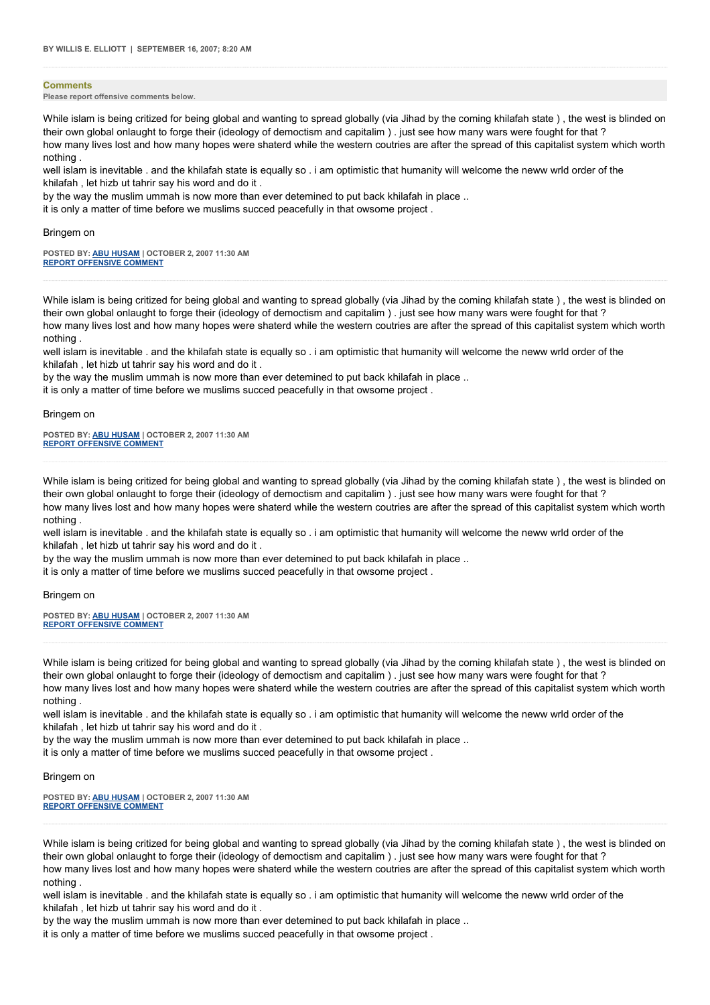#### **Comments**

**Please report offensive comments below.**

While islam is being critized for being global and wanting to spread globally (via Jihad by the coming khilafah state), the west is blinded on their own global onlaught to forge their (ideology of democtism and capitalim ) . just see how many wars were fought for that ? how many lives lost and how many hopes were shaterd while the western coutries are after the spread of this capitalist system which worth nothing .

well islam is inevitable . and the khilafah state is equally so . i am optimistic that humanity will welcome the neww wrld order of the khilafah , let hizb ut tahrir say his word and do it .

by the way the muslim ummah is now more than ever detemined to put back khilafah in place ..

it is only a matter of time before we muslims succed peacefully in that owsome project .

#### Bringem on

**POSTED BY: [ABU HUSAM](http://www.khilafah.com/) | OCTOBER 2, 2007 11:30 AM [REPORT OFFENSIVE COMMENT](mailto:blogs@washingtonpost.com?subject=On%20Faith%20Panelists%20Blog%20%20%7C%20%20abu%20husam%20%20%7C%20%20Flow%20of%20Flesh,%20Reach%20of%20Spirit%20%20%7C%20%201461264&body=%0D%0D%0D%0D%0D================%0D?__mode=view%26_type=comment%26id=1461264%26blog_id=618)**

While islam is being critized for being global and wanting to spread globally (via Jihad by the coming khilafah state), the west is blinded on their own global onlaught to forge their (ideology of democtism and capitalim ) . just see how many wars were fought for that ? how many lives lost and how many hopes were shaterd while the western coutries are after the spread of this capitalist system which worth nothing .

well islam is inevitable . and the khilafah state is equally so . i am optimistic that humanity will welcome the neww wrld order of the khilafah , let hizb ut tahrir say his word and do it .

by the way the muslim ummah is now more than ever detemined to put back khilafah in place ..

it is only a matter of time before we muslims succed peacefully in that owsome project .

Bringem on

**POSTED BY: [ABU HUSAM](http://www.khilafah.com/) | OCTOBER 2, 2007 11:30 AM [REPORT OFFENSIVE COMMENT](mailto:blogs@washingtonpost.com?subject=On%20Faith%20Panelists%20Blog%20%20%7C%20%20abu%20husam%20%20%7C%20%20Flow%20of%20Flesh,%20Reach%20of%20Spirit%20%20%7C%20%201461263&body=%0D%0D%0D%0D%0D================%0D?__mode=view%26_type=comment%26id=1461263%26blog_id=618)**

While islam is being critized for being global and wanting to spread globally (via Jihad by the coming khilafah state), the west is blinded on their own global onlaught to forge their (ideology of democtism and capitalim ) . just see how many wars were fought for that ? how many lives lost and how many hopes were shaterd while the western coutries are after the spread of this capitalist system which worth nothing .

well islam is inevitable, and the khilafah state is equally so, i am optimistic that humanity will welcome the neww wrld order of the khilafah , let hizb ut tahrir say his word and do it .

by the way the muslim ummah is now more than ever detemined to put back khilafah in place ..

it is only a matter of time before we muslims succed peacefully in that owsome project .

Bringem on

**POSTED BY: [ABU HUSAM](http://www.khilafah.com/) | OCTOBER 2, 2007 11:30 AM [REPORT OFFENSIVE COMMENT](mailto:blogs@washingtonpost.com?subject=On%20Faith%20Panelists%20Blog%20%20%7C%20%20abu%20husam%20%20%7C%20%20Flow%20of%20Flesh,%20Reach%20of%20Spirit%20%20%7C%20%201461259&body=%0D%0D%0D%0D%0D================%0D?__mode=view%26_type=comment%26id=1461259%26blog_id=618)**

While islam is being critized for being global and wanting to spread globally (via Jihad by the coming khilafah state ) , the west is blinded on their own global onlaught to forge their (ideology of democtism and capitalim ) . just see how many wars were fought for that ? how many lives lost and how many hopes were shaterd while the western coutries are after the spread of this capitalist system which worth nothing .

well islam is inevitable . and the khilafah state is equally so . i am optimistic that humanity will welcome the neww wrld order of the khilafah , let hizb ut tahrir say his word and do it .

by the way the muslim ummah is now more than ever detemined to put back khilafah in place ..

it is only a matter of time before we muslims succed peacefully in that owsome project .

#### Bringem on

**POSTED BY: [ABU HUSAM](http://www.khilafah.com/) | OCTOBER 2, 2007 11:30 AM [REPORT OFFENSIVE COMMENT](mailto:blogs@washingtonpost.com?subject=On%20Faith%20Panelists%20Blog%20%20%7C%20%20abu%20husam%20%20%7C%20%20Flow%20of%20Flesh,%20Reach%20of%20Spirit%20%20%7C%20%201461261&body=%0D%0D%0D%0D%0D================%0D?__mode=view%26_type=comment%26id=1461261%26blog_id=618)**

While islam is being critized for being global and wanting to spread globally (via Jihad by the coming khilafah state), the west is blinded on their own global onlaught to forge their (ideology of democtism and capitalim ) . just see how many wars were fought for that ? how many lives lost and how many hopes were shaterd while the western coutries are after the spread of this capitalist system which worth nothing .

well islam is inevitable . and the khilafah state is equally so . i am optimistic that humanity will welcome the neww wrld order of the khilafah , let hizb ut tahrir say his word and do it .

by the way the muslim ummah is now more than ever detemined to put back khilafah in place ..

it is only a matter of time before we muslims succed peacefully in that owsome project .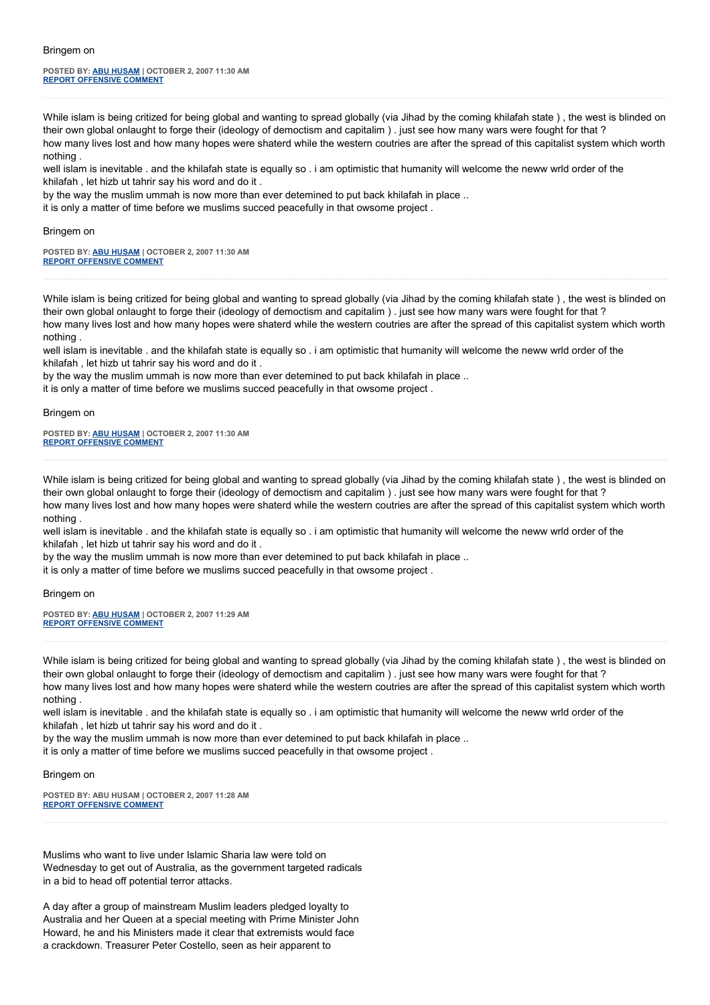#### Bringem on

**POSTED BY: [ABU HUSAM](http://www.khilafah.com/) | OCTOBER 2, 2007 11:30 AM [REPORT OFFENSIVE COMMENT](mailto:blogs@washingtonpost.com?subject=On%20Faith%20Panelists%20Blog%20%20%7C%20%20abu%20husam%20%20%7C%20%20Flow%20of%20Flesh,%20Reach%20of%20Spirit%20%20%7C%20%201461260&body=%0D%0D%0D%0D%0D================%0D?__mode=view%26_type=comment%26id=1461260%26blog_id=618)**

While islam is being critized for being global and wanting to spread globally (via Jihad by the coming khilafah state), the west is blinded on their own global onlaught to forge their (ideology of democtism and capitalim ) . just see how many wars were fought for that ? how many lives lost and how many hopes were shaterd while the western coutries are after the spread of this capitalist system which worth nothing .

well islam is inevitable . and the khilafah state is equally so . i am optimistic that humanity will welcome the neww wrld order of the khilafah , let hizb ut tahrir say his word and do it .

by the way the muslim ummah is now more than ever detemined to put back khilafah in place ..

it is only a matter of time before we muslims succed peacefully in that owsome project .

#### Bringem on

**POSTED BY: [ABU HUSAM](http://www.khilafah.com/) | OCTOBER 2, 2007 11:30 AM [REPORT OFFENSIVE COMMENT](mailto:blogs@washingtonpost.com?subject=On%20Faith%20Panelists%20Blog%20%20%7C%20%20abu%20husam%20%20%7C%20%20Flow%20of%20Flesh,%20Reach%20of%20Spirit%20%20%7C%20%201461262&body=%0D%0D%0D%0D%0D================%0D?__mode=view%26_type=comment%26id=1461262%26blog_id=618)**

While islam is being critized for being global and wanting to spread globally (via Jihad by the coming khilafah state), the west is blinded on their own global onlaught to forge their (ideology of democtism and capitalim ) . just see how many wars were fought for that ? how many lives lost and how many hopes were shaterd while the western coutries are after the spread of this capitalist system which worth nothing .

well islam is inevitable . and the khilafah state is equally so . i am optimistic that humanity will welcome the neww wrld order of the khilafah , let hizb ut tahrir say his word and do it .

by the way the muslim ummah is now more than ever detemined to put back khilafah in place ..

it is only a matter of time before we muslims succed peacefully in that owsome project .

Bringem on

**POSTED BY: [ABU HUSAM](http://www.khilafah.com/) | OCTOBER 2, 2007 11:30 AM [REPORT OFFENSIVE COMMENT](mailto:blogs@washingtonpost.com?subject=On%20Faith%20Panelists%20Blog%20%20%7C%20%20abu%20husam%20%20%7C%20%20Flow%20of%20Flesh,%20Reach%20of%20Spirit%20%20%7C%20%201461257&body=%0D%0D%0D%0D%0D================%0D?__mode=view%26_type=comment%26id=1461257%26blog_id=618)**

While islam is being critized for being global and wanting to spread globally (via Jihad by the coming khilafah state), the west is blinded on their own global onlaught to forge their (ideology of democtism and capitalim ) . just see how many wars were fought for that ? how many lives lost and how many hopes were shaterd while the western coutries are after the spread of this capitalist system which worth nothing .

well islam is inevitable . and the khilafah state is equally so . i am optimistic that humanity will welcome the neww wrld order of the khilafah , let hizb ut tahrir say his word and do it .

by the way the muslim ummah is now more than ever detemined to put back khilafah in place ..

it is only a matter of time before we muslims succed peacefully in that owsome project .

### Bringem on

**POSTED BY: [ABU HUSAM](http://www.khilafah.com/) | OCTOBER 2, 2007 11:29 AM [REPORT OFFENSIVE COMMENT](mailto:blogs@washingtonpost.com?subject=On%20Faith%20Panelists%20Blog%20%20%7C%20%20abu%20husam%20%20%7C%20%20Flow%20of%20Flesh,%20Reach%20of%20Spirit%20%20%7C%20%201461253&body=%0D%0D%0D%0D%0D================%0D?__mode=view%26_type=comment%26id=1461253%26blog_id=618)**

While islam is being critized for being global and wanting to spread globally (via Jihad by the coming khilafah state ) , the west is blinded on their own global onlaught to forge their (ideology of democtism and capitalim ) . just see how many wars were fought for that ? how many lives lost and how many hopes were shaterd while the western coutries are after the spread of this capitalist system which worth nothing .

well islam is inevitable . and the khilafah state is equally so . i am optimistic that humanity will welcome the neww wrld order of the khilafah , let hizb ut tahrir say his word and do it .

by the way the muslim ummah is now more than ever detemined to put back khilafah in place ..

it is only a matter of time before we muslims succed peacefully in that owsome project .

#### Bringem on

**POSTED BY: ABU HUSAM | OCTOBER 2, 2007 11:28 AM [REPORT OFFENSIVE COMMENT](mailto:blogs@washingtonpost.com?subject=On%20Faith%20Panelists%20Blog%20%20%7C%20%20abu%20husam%20%20%7C%20%20Flow%20of%20Flesh,%20Reach%20of%20Spirit%20%20%7C%20%201461251&body=%0D%0D%0D%0D%0D================%0D?__mode=view%26_type=comment%26id=1461251%26blog_id=618)**

Muslims who want to live under Islamic Sharia law were told on Wednesday to get out of Australia, as the government targeted radicals in a bid to head off potential terror attacks.

A day after a group of mainstream Muslim leaders pledged loyalty to Australia and her Queen at a special meeting with Prime Minister John Howard, he and his Ministers made it clear that extremists would face a crackdown. Treasurer Peter Costello, seen as heir apparent to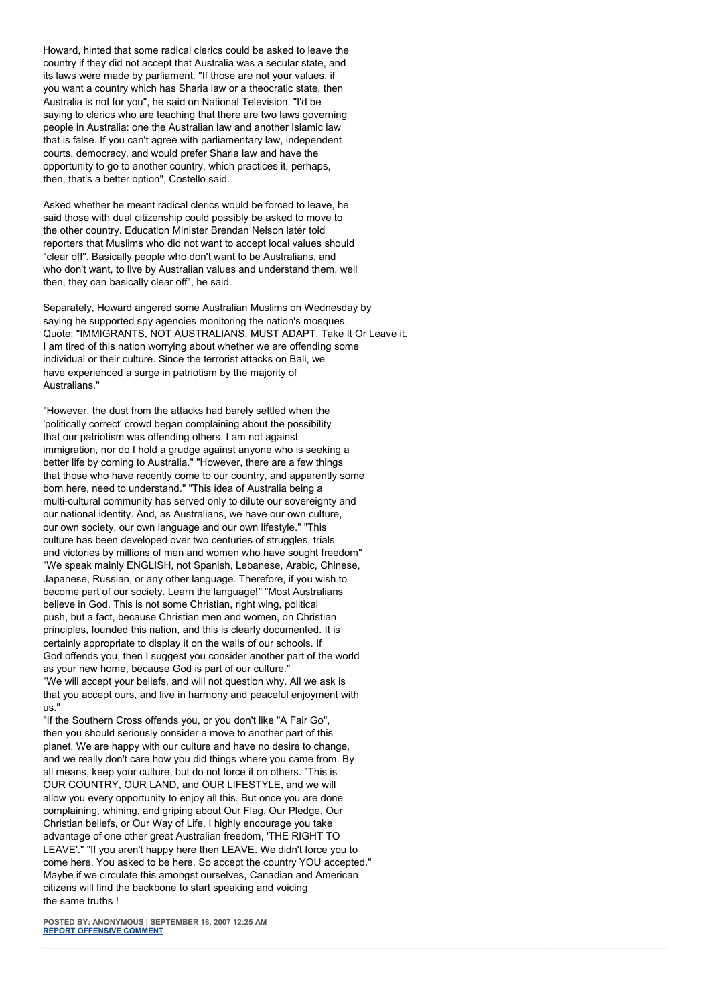Howard, hinted that some radical clerics could be asked to leave the country if they did not accept that Australia was a secular state, and its laws were made by parliament. "If those are not your values, if you want a country which has Sharia law or a theocratic state, then Australia is not for you", he said on National Television. "I'd be saying to clerics who are teaching that there are two laws governing people in Australia: one the Australian law and another Islamic law that is false. If you can't agree with parliamentary law, independent courts, democracy, and would prefer Sharia law and have the opportunity to go to another country, which practices it, perhaps, then, that's a better option", Costello said.

Asked whether he meant radical clerics would be forced to leave, he said those with dual citizenship could possibly be asked to move to the other country. Education Minister Brendan Nelson later told reporters that Muslims who did not want to accept local values should "clear off". Basically people who don't want to be Australians, and who don't want, to live by Australian values and understand them, well then, they can basically clear off", he said.

Separately, Howard angered some Australian Muslims on Wednesday by saying he supported spy agencies monitoring the nation's mosques. Quote: "IMMIGRANTS, NOT AUSTRALIANS, MUST ADAPT. Take It Or Leave it. I am tired of this nation worrying about whether we are offending some individual or their culture. Since the terrorist attacks on Bali, we have experienced a surge in patriotism by the majority of Australians."

"However, the dust from the attacks had barely settled when the 'politically correct' crowd began complaining about the possibility that our patriotism was offending others. I am not against immigration, nor do I hold a grudge against anyone who is seeking a better life by coming to Australia." "However, there are a few things that those who have recently come to our country, and apparently some born here, need to understand." "This idea of Australia being a multi-cultural community has served only to dilute our sovereignty and our national identity. And, as Australians, we have our own culture, our own society, our own language and our own lifestyle." "This culture has been developed over two centuries of struggles, trials and victories by millions of men and women who have sought freedom" "We speak mainly ENGLISH, not Spanish, Lebanese, Arabic, Chinese, Japanese, Russian, or any other language. Therefore, if you wish to become part of our society. Learn the language!" "Most Australians believe in God. This is not some Christian, right wing, political push, but a fact, because Christian men and women, on Christian principles, founded this nation, and this is clearly documented. It is certainly appropriate to display it on the walls of our schools. If God offends you, then I suggest you consider another part of the world as your new home, because God is part of our culture." "We will accept your beliefs, and will not question why. All we ask is that you accept ours, and live in harmony and peaceful enjoyment with us."

"If the Southern Cross offends you, or you don't like "A Fair Go", then you should seriously consider a move to another part of this planet. We are happy with our culture and have no desire to change, and we really don't care how you did things where you came from. By all means, keep your culture, but do not force it on others. "This is OUR COUNTRY, OUR LAND, and OUR LIFESTYLE, and we will allow you every opportunity to enjoy all this. But once you are done complaining, whining, and griping about Our Flag, Our Pledge, Our Christian beliefs, or Our Way of Life, I highly encourage you take advantage of one other great Australian freedom, 'THE RIGHT TO LEAVE'." "If you aren't happy here then LEAVE. We didn't force you to come here. You asked to be here. So accept the country YOU accepted." Maybe if we circulate this amongst ourselves, Canadian and American citizens will find the backbone to start speaking and voicing the same truths !

**POSTED BY: ANONYMOUS | SEPTEMBER 18, 2007 12:25 AM [REPORT OFFENSIVE COMMENT](mailto:blogs@washingtonpost.com?subject=On%20Faith%20Panelists%20Blog%20%20%7C%20%20Anonymous%20%20%7C%20%20Flow%20of%20Flesh,%20Reach%20of%20Spirit%20%20%7C%20%201393909&body=%0D%0D%0D%0D%0D================%0D?__mode=view%26_type=comment%26id=1393909%26blog_id=618)**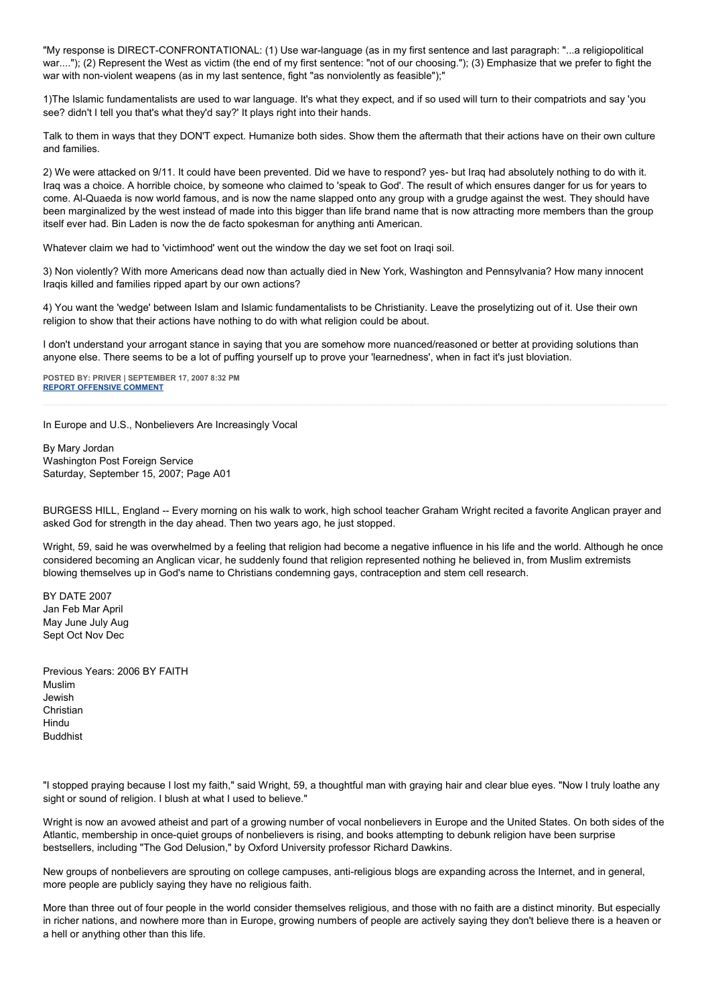"My response is DIRECT-CONFRONTATIONAL: (1) Use war-language (as in my first sentence and last paragraph: "...a religiopolitical war...."); (2) Represent the West as victim (the end of my first sentence: "not of our choosing."); (3) Emphasize that we prefer to fight the war with non-violent weapens (as in my last sentence, fight "as nonviolently as feasible");"

1)The Islamic fundamentalists are used to war language. It's what they expect, and if so used will turn to their compatriots and say 'you see? didn't I tell you that's what they'd say?' It plays right into their hands.

Talk to them in ways that they DON'T expect. Humanize both sides. Show them the aftermath that their actions have on their own culture and families.

2) We were attacked on 9/11. It could have been prevented. Did we have to respond? yes- but Iraq had absolutely nothing to do with it. Iraq was a choice. A horrible choice, by someone who claimed to 'speak to God'. The result of which ensures danger for us for years to come. Al-Quaeda is now world famous, and is now the name slapped onto any group with a grudge against the west. They should have been marginalized by the west instead of made into this bigger than life brand name that is now attracting more members than the group itself ever had. Bin Laden is now the de facto spokesman for anything anti American.

Whatever claim we had to 'victimhood' went out the window the day we set foot on Iraqi soil.

3) Non violently? With more Americans dead now than actually died in New York, Washington and Pennsylvania? How many innocent Iraqis killed and families ripped apart by our own actions?

4) You want the 'wedge' between Islam and Islamic fundamentalists to be Christianity. Leave the proselytizing out of it. Use their own religion to show that their actions have nothing to do with what religion could be about.

I don't understand your arrogant stance in saying that you are somehow more nuanced/reasoned or better at providing solutions than anyone else. There seems to be a lot of puffing yourself up to prove your 'learnedness', when in fact it's just bloviation.

**POSTED BY: PRIVER | SEPTEMBER 17, 2007 8:32 PM [REPORT OFFENSIVE COMMENT](mailto:blogs@washingtonpost.com?subject=On%20Faith%20Panelists%20Blog%20%20%7C%20%20Priver%20%20%7C%20%20Flow%20of%20Flesh,%20Reach%20of%20Spirit%20%20%7C%20%201393480&body=%0D%0D%0D%0D%0D================%0D?__mode=view%26_type=comment%26id=1393480%26blog_id=618)**

In Europe and U.S., Nonbelievers Are Increasingly Vocal

By Mary Jordan Washington Post Foreign Service Saturday, September 15, 2007; Page A01

BURGESS HILL, England -- Every morning on his walk to work, high school teacher Graham Wright recited a favorite Anglican prayer and asked God for strength in the day ahead. Then two years ago, he just stopped.

Wright, 59, said he was overwhelmed by a feeling that religion had become a negative influence in his life and the world. Although he once considered becoming an Anglican vicar, he suddenly found that religion represented nothing he believed in, from Muslim extremists blowing themselves up in God's name to Christians condemning gays, contraception and stem cell research.

BY DATE 2007 Jan Feb Mar April May June July Aug Sept Oct Nov Dec

Previous Years: 2006 BY FAITH Muslim Jewish **Christian** Hindu Buddhist

"I stopped praying because I lost my faith," said Wright, 59, a thoughtful man with graying hair and clear blue eyes. "Now I truly loathe any sight or sound of religion. I blush at what I used to believe."

Wright is now an avowed atheist and part of a growing number of vocal nonbelievers in Europe and the United States. On both sides of the Atlantic, membership in once-quiet groups of nonbelievers is rising, and books attempting to debunk religion have been surprise bestsellers, including "The God Delusion," by Oxford University professor Richard Dawkins.

New groups of nonbelievers are sprouting on college campuses, anti-religious blogs are expanding across the Internet, and in general, more people are publicly saying they have no religious faith.

More than three out of four people in the world consider themselves religious, and those with no faith are a distinct minority. But especially in richer nations, and nowhere more than in Europe, growing numbers of people are actively saying they don't believe there is a heaven or a hell or anything other than this life.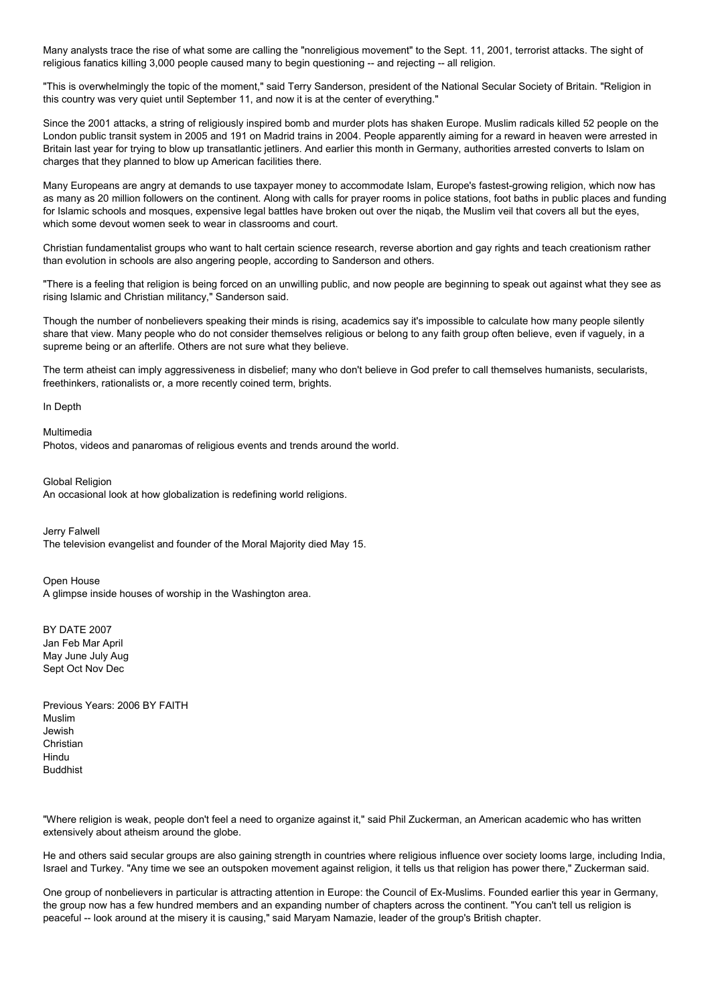Many analysts trace the rise of what some are calling the "nonreligious movement" to the Sept. 11, 2001, terrorist attacks. The sight of religious fanatics killing 3,000 people caused many to begin questioning -- and rejecting -- all religion.

"This is overwhelmingly the topic of the moment," said Terry Sanderson, president of the National Secular Society of Britain. "Religion in this country was very quiet until September 11, and now it is at the center of everything."

Since the 2001 attacks, a string of religiously inspired bomb and murder plots has shaken Europe. Muslim radicals killed 52 people on the London public transit system in 2005 and 191 on Madrid trains in 2004. People apparently aiming for a reward in heaven were arrested in Britain last year for trying to blow up transatlantic jetliners. And earlier this month in Germany, authorities arrested converts to Islam on charges that they planned to blow up American facilities there.

Many Europeans are angry at demands to use taxpayer money to accommodate Islam, Europe's fastest-growing religion, which now has as many as 20 million followers on the continent. Along with calls for prayer rooms in police stations, foot baths in public places and funding for Islamic schools and mosques, expensive legal battles have broken out over the niqab, the Muslim veil that covers all but the eyes, which some devout women seek to wear in classrooms and court.

Christian fundamentalist groups who want to halt certain science research, reverse abortion and gay rights and teach creationism rather than evolution in schools are also angering people, according to Sanderson and others.

"There is a feeling that religion is being forced on an unwilling public, and now people are beginning to speak out against what they see as rising Islamic and Christian militancy," Sanderson said.

Though the number of nonbelievers speaking their minds is rising, academics say it's impossible to calculate how many people silently share that view. Many people who do not consider themselves religious or belong to any faith group often believe, even if vaguely, in a supreme being or an afterlife. Others are not sure what they believe.

The term atheist can imply aggressiveness in disbelief; many who don't believe in God prefer to call themselves humanists, secularists, freethinkers, rationalists or, a more recently coined term, brights.

In Depth

Multimedia Photos, videos and panaromas of religious events and trends around the world.

Global Religion An occasional look at how globalization is redefining world religions.

Jerry Falwell The television evangelist and founder of the Moral Majority died May 15.

Open House A glimpse inside houses of worship in the Washington area.

BY DATE 2007 Jan Feb Mar April May June July Aug Sept Oct Nov Dec

Previous Years: 2006 BY FAITH Muslim Jewish Christian Hindu **Buddhist** 

"Where religion is weak, people don't feel a need to organize against it," said Phil Zuckerman, an American academic who has written extensively about atheism around the globe.

He and others said secular groups are also gaining strength in countries where religious influence over society looms large, including India, Israel and Turkey. "Any time we see an outspoken movement against religion, it tells us that religion has power there," Zuckerman said.

One group of nonbelievers in particular is attracting attention in Europe: the Council of Ex-Muslims. Founded earlier this year in Germany, the group now has a few hundred members and an expanding number of chapters across the continent. "You can't tell us religion is peaceful -- look around at the misery it is causing," said Maryam Namazie, leader of the group's British chapter.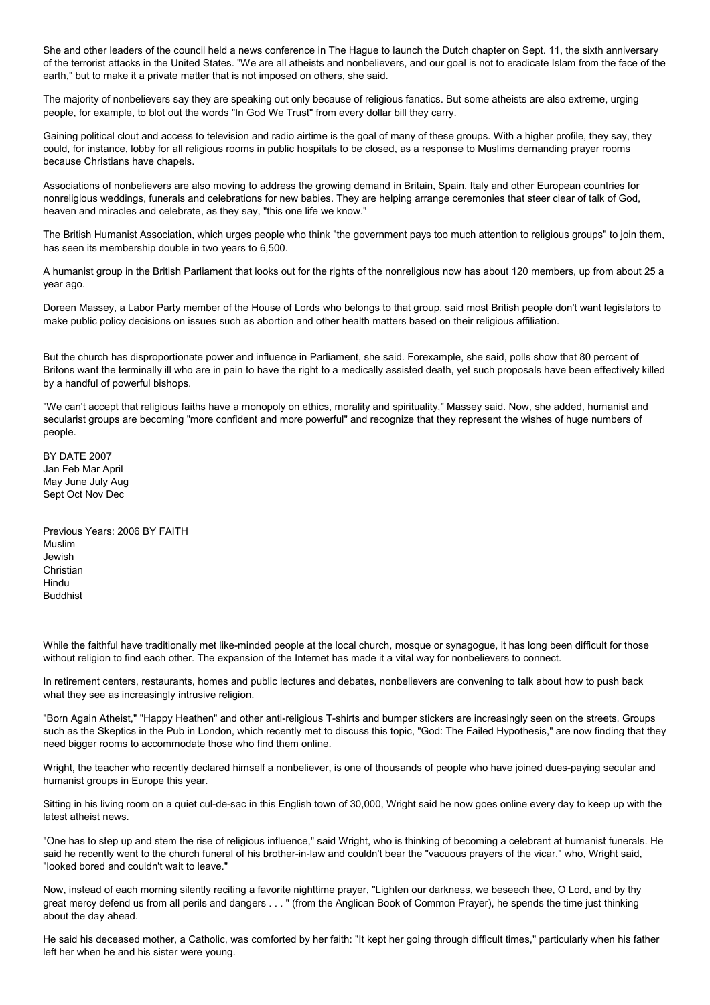She and other leaders of the council held a news conference in The Hague to launch the Dutch chapter on Sept. 11, the sixth anniversary of the terrorist attacks in the United States. "We are all atheists and nonbelievers, and our goal is not to eradicate Islam from the face of the earth," but to make it a private matter that is not imposed on others, she said.

The majority of nonbelievers say they are speaking out only because of religious fanatics. But some atheists are also extreme, urging people, for example, to blot out the words "In God We Trust" from every dollar bill they carry.

Gaining political clout and access to television and radio airtime is the goal of many of these groups. With a higher profile, they say, they could, for instance, lobby for all religious rooms in public hospitals to be closed, as a response to Muslims demanding prayer rooms because Christians have chapels.

Associations of nonbelievers are also moving to address the growing demand in Britain, Spain, Italy and other European countries for nonreligious weddings, funerals and celebrations for new babies. They are helping arrange ceremonies that steer clear of talk of God, heaven and miracles and celebrate, as they say, "this one life we know."

The British Humanist Association, which urges people who think "the government pays too much attention to religious groups" to join them, has seen its membership double in two years to 6,500.

A humanist group in the British Parliament that looks out for the rights of the nonreligious now has about 120 members, up from about 25 a year ago.

Doreen Massey, a Labor Party member of the House of Lords who belongs to that group, said most British people don't want legislators to make public policy decisions on issues such as abortion and other health matters based on their religious affiliation.

But the church has disproportionate power and influence in Parliament, she said. Forexample, she said, polls show that 80 percent of Britons want the terminally ill who are in pain to have the right to a medically assisted death, yet such proposals have been effectively killed by a handful of powerful bishops.

"We can't accept that religious faiths have a monopoly on ethics, morality and spirituality," Massey said. Now, she added, humanist and secularist groups are becoming "more confident and more powerful" and recognize that they represent the wishes of huge numbers of people.

BY DATE 2007 Jan Feb Mar April May June July Aug Sept Oct Nov Dec

Previous Years: 2006 BY FAITH Muslim Jewish **Christian** Hindu Buddhist

While the faithful have traditionally met like-minded people at the local church, mosque or synagogue, it has long been difficult for those without religion to find each other. The expansion of the Internet has made it a vital way for nonbelievers to connect.

In retirement centers, restaurants, homes and public lectures and debates, nonbelievers are convening to talk about how to push back what they see as increasingly intrusive religion.

"Born Again Atheist," "Happy Heathen" and other anti-religious T-shirts and bumper stickers are increasingly seen on the streets. Groups such as the Skeptics in the Pub in London, which recently met to discuss this topic, "God: The Failed Hypothesis," are now finding that they need bigger rooms to accommodate those who find them online.

Wright, the teacher who recently declared himself a nonbeliever, is one of thousands of people who have joined dues-paying secular and humanist groups in Europe this year.

Sitting in his living room on a quiet cul-de-sac in this English town of 30,000, Wright said he now goes online every day to keep up with the latest atheist news.

"One has to step up and stem the rise of religious influence," said Wright, who is thinking of becoming a celebrant at humanist funerals. He said he recently went to the church funeral of his brother-in-law and couldn't bear the "vacuous prayers of the vicar," who, Wright said, "looked bored and couldn't wait to leave."

Now, instead of each morning silently reciting a favorite nighttime prayer, "Lighten our darkness, we beseech thee, O Lord, and by thy great mercy defend us from all perils and dangers . . . " (from the Anglican Book of Common Prayer), he spends the time just thinking about the day ahead.

He said his deceased mother, a Catholic, was comforted by her faith: "It kept her going through difficult times," particularly when his father left her when he and his sister were young.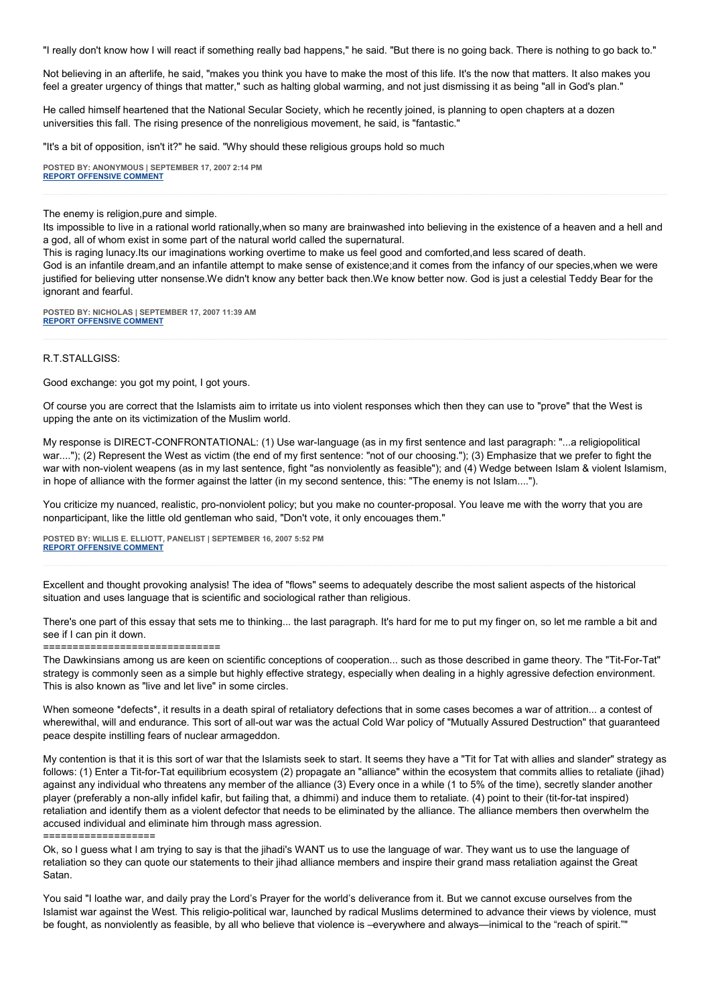"I really don't know how I will react if something really bad happens," he said. "But there is no going back. There is nothing to go back to."

Not believing in an afterlife, he said, "makes you think you have to make the most of this life. It's the now that matters. It also makes you feel a greater urgency of things that matter," such as halting global warming, and not just dismissing it as being "all in God's plan."

He called himself heartened that the National Secular Society, which he recently joined, is planning to open chapters at a dozen universities this fall. The rising presence of the nonreligious movement, he said, is "fantastic."

"It's a bit of opposition, isn't it?" he said. "Why should these religious groups hold so much

**POSTED BY: ANONYMOUS | SEPTEMBER 17, 2007 2:14 PM [REPORT OFFENSIVE COMMENT](mailto:blogs@washingtonpost.com?subject=On%20Faith%20Panelists%20Blog%20%20%7C%20%20Anonymous%20%20%7C%20%20Flow%20of%20Flesh,%20Reach%20of%20Spirit%20%20%7C%20%201392747&body=%0D%0D%0D%0D%0D================%0D?__mode=view%26_type=comment%26id=1392747%26blog_id=618)**

The enemy is religion,pure and simple.

Its impossible to live in a rational world rationally,when so many are brainwashed into believing in the existence of a heaven and a hell and a god, all of whom exist in some part of the natural world called the supernatural.

This is raging lunacy.Its our imaginations working overtime to make us feel good and comforted,and less scared of death.

God is an infantile dream,and an infantile attempt to make sense of existence;and it comes from the infancy of our species,when we were justified for believing utter nonsense.We didn't know any better back then.We know better now. God is just a celestial Teddy Bear for the ignorant and fearful.

**POSTED BY: NICHOLAS | SEPTEMBER 17, 2007 11:39 AM [REPORT OFFENSIVE COMMENT](mailto:blogs@washingtonpost.com?subject=On%20Faith%20Panelists%20Blog%20%20%7C%20%20Nicholas%20%20%7C%20%20Flow%20of%20Flesh,%20Reach%20of%20Spirit%20%20%7C%20%201392296&body=%0D%0D%0D%0D%0D================%0D?__mode=view%26_type=comment%26id=1392296%26blog_id=618)**

## R.T.STALLGISS:

Good exchange: you got my point. I got yours.

Of course you are correct that the Islamists aim to irritate us into violent responses which then they can use to "prove" that the West is upping the ante on its victimization of the Muslim world.

My response is DIRECT-CONFRONTATIONAL: (1) Use war-language (as in my first sentence and last paragraph: "...a religiopolitical war...."); (2) Represent the West as victim (the end of my first sentence: "not of our choosing."); (3) Emphasize that we prefer to fight the war with non-violent weapens (as in my last sentence, fight "as nonviolently as feasible"); and (4) Wedge between Islam & violent Islamism, in hope of alliance with the former against the latter (in my second sentence, this: "The enemy is not Islam....").

You criticize my nuanced, realistic, pro-nonviolent policy; but you make no counter-proposal. You leave me with the worry that you are nonparticipant, like the little old gentleman who said, "Don't vote, it only encouages them."

**POSTED BY: WILLIS E. ELLIOTT, PANELIST | SEPTEMBER 16, 2007 5:52 PM [REPORT OFFENSIVE COMMENT](mailto:blogs@washingtonpost.com?subject=On%20Faith%20Panelists%20Blog%20%20%7C%20%20Willis%20E.%20Elliott,%20panelist%20%20%7C%20%20Flow%20of%20Flesh,%20Reach%20of%20Spirit%20%20%7C%20%201389923&body=%0D%0D%0D%0D%0D================%0D?__mode=view%26_type=comment%26id=1389923%26blog_id=618)**

Excellent and thought provoking analysis! The idea of "flows" seems to adequately describe the most salient aspects of the historical situation and uses language that is scientific and sociological rather than religious.

There's one part of this essay that sets me to thinking... the last paragraph. It's hard for me to put my finger on, so let me ramble a bit and see if I can pin it down.

==============================

The Dawkinsians among us are keen on scientific conceptions of cooperation... such as those described in game theory. The "Tit-For-Tat" strategy is commonly seen as a simple but highly effective strategy, especially when dealing in a highly agressive defection environment. This is also known as "live and let live" in some circles.

When someone \*defects\*, it results in a death spiral of retaliatory defections that in some cases becomes a war of attrition... a contest of wherewithal, will and endurance. This sort of all-out war was the actual Cold War policy of "Mutually Assured Destruction" that guaranteed peace despite instilling fears of nuclear armageddon.

My contention is that it is this sort of war that the Islamists seek to start. It seems they have a "Tit for Tat with allies and slander" strategy as follows: (1) Enter a Tit-for-Tat equilibrium ecosystem (2) propagate an "alliance" within the ecosystem that commits allies to retaliate (jihad) against any individual who threatens any member of the alliance (3) Every once in a while (1 to 5% of the time), secretly slander another player (preferably a non-ally infidel kafir, but failing that, a dhimmi) and induce them to retaliate. (4) point to their (tit-for-tat inspired) retaliation and identify them as a violent defector that needs to be eliminated by the alliance. The alliance members then overwhelm the accused individual and eliminate him through mass agression.

==================

Ok, so I guess what I am trying to say is that the jihadi's WANT us to use the language of war. They want us to use the language of retaliation so they can quote our statements to their jihad alliance members and inspire their grand mass retaliation against the Great Satan.

You said "I loathe war, and daily pray the Lord's Prayer for the world's deliverance from it. But we cannot excuse ourselves from the Islamist war against the West. This religio-political war, launched by radical Muslims determined to advance their views by violence, must be fought, as nonviolently as feasible, by all who believe that violence is –everywhere and always—inimical to the "reach of spirit.""